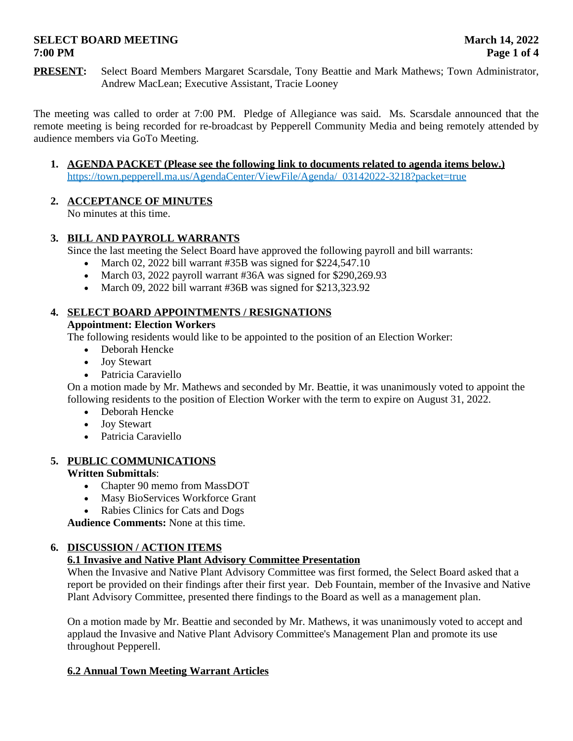# **SELECT BOARD MEETING MARGE 14, 2022 7:00 PM Page 1 of 4**

**PRESENT:** Select Board Members Margaret Scarsdale, Tony Beattie and Mark Mathews; Town Administrator, Andrew MacLean; Executive Assistant, Tracie Looney

The meeting was called to order at 7:00 PM. Pledge of Allegiance was said. Ms. Scarsdale announced that the remote meeting is being recorded for re-broadcast by Pepperell Community Media and being remotely attended by audience members via GoTo Meeting.

**1. AGENDA PACKET (Please see the following link to documents related to agenda items below.)** https://town.pepperell.ma.us/AgendaCenter/ViewFile/Agenda/\_03142022-3218?packet=true

# **2. ACCEPTANCE OF MINUTES**

No minutes at this time.

## **3. BILL AND PAYROLL WARRANTS**

Since the last meeting the Select Board have approved the following payroll and bill warrants:

- March 02, 2022 bill warrant  $\#35B$  was signed for \$224,547.10
- March 03, 2022 payroll warrant #36A was signed for \$290,269.93
- March 09, 2022 bill warrant #36B was signed for \$213,323.92

## **4. SELECT BOARD APPOINTMENTS / RESIGNATIONS**

#### **Appointment: Election Workers**

The following residents would like to be appointed to the position of an Election Worker:

- Deborah Hencke
- Joy Stewart
- Patricia Caraviello

On a motion made by Mr. Mathews and seconded by Mr. Beattie, it was unanimously voted to appoint the following residents to the position of Election Worker with the term to expire on August 31, 2022.

- Deborah Hencke
- Joy Stewart
- Patricia Caraviello

## **5. PUBLIC COMMUNICATIONS**

**Written Submittals**:

- Chapter 90 memo from MassDOT
- Masy BioServices Workforce Grant
- Rabies Clinics for Cats and Dogs

**Audience Comments:** None at this time.

## **6. DISCUSSION / ACTION ITEMS**

## **6.1 Invasive and Native Plant Advisory Committee Presentation**

When the Invasive and Native Plant Advisory Committee was first formed, the Select Board asked that a report be provided on their findings after their first year. Deb Fountain, member of the Invasive and Native Plant Advisory Committee, presented there findings to the Board as well as a management plan.

On a motion made by Mr. Beattie and seconded by Mr. Mathews, it was unanimously voted to accept and applaud the Invasive and Native Plant Advisory Committee's Management Plan and promote its use throughout Pepperell.

## **6.2 Annual Town Meeting Warrant Articles**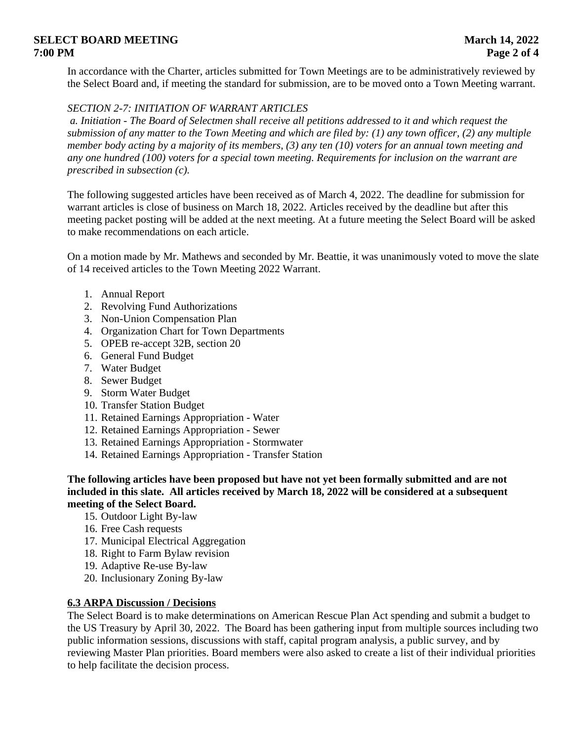# **SELECT BOARD MEETING MARGE 14, 2022 7:00 PM Page 2 of 4**

In accordance with the Charter, articles submitted for Town Meetings are to be administratively reviewed by the Select Board and, if meeting the standard for submission, are to be moved onto a Town Meeting warrant.

## *SECTION 2-7: INITIATION OF WARRANT ARTICLES*

 *a. Initiation - The Board of Selectmen shall receive all petitions addressed to it and which request the submission of any matter to the Town Meeting and which are filed by: (1) any town officer, (2) any multiple member body acting by a majority of its members, (3) any ten (10) voters for an annual town meeting and any one hundred (100) voters for a special town meeting. Requirements for inclusion on the warrant are prescribed in subsection (c).* 

The following suggested articles have been received as of March 4, 2022. The deadline for submission for warrant articles is close of business on March 18, 2022. Articles received by the deadline but after this meeting packet posting will be added at the next meeting. At a future meeting the Select Board will be asked to make recommendations on each article.

On a motion made by Mr. Mathews and seconded by Mr. Beattie, it was unanimously voted to move the slate of 14 received articles to the Town Meeting 2022 Warrant.

- 1. Annual Report
- 2. Revolving Fund Authorizations
- 3. Non-Union Compensation Plan
- 4. Organization Chart for Town Departments
- 5. OPEB re-accept 32B, section 20
- 6. General Fund Budget
- 7. Water Budget
- 8. Sewer Budget
- 9. Storm Water Budget
- 10. Transfer Station Budget
- 11. Retained Earnings Appropriation Water
- 12. Retained Earnings Appropriation Sewer
- 13. Retained Earnings Appropriation Stormwater
- 14. Retained Earnings Appropriation Transfer Station

**The following articles have been proposed but have not yet been formally submitted and are not included in this slate. All articles received by March 18, 2022 will be considered at a subsequent meeting of the Select Board.**

- 15. Outdoor Light By-law
- 16. Free Cash requests
- 17. Municipal Electrical Aggregation
- 18. Right to Farm Bylaw revision
- 19. Adaptive Re-use By-law
- 20. Inclusionary Zoning By-law

#### **6.3 ARPA Discussion / Decisions**

The Select Board is to make determinations on American Rescue Plan Act spending and submit a budget to the US Treasury by April 30, 2022. The Board has been gathering input from multiple sources including two public information sessions, discussions with staff, capital program analysis, a public survey, and by reviewing Master Plan priorities. Board members were also asked to create a list of their individual priorities to help facilitate the decision process.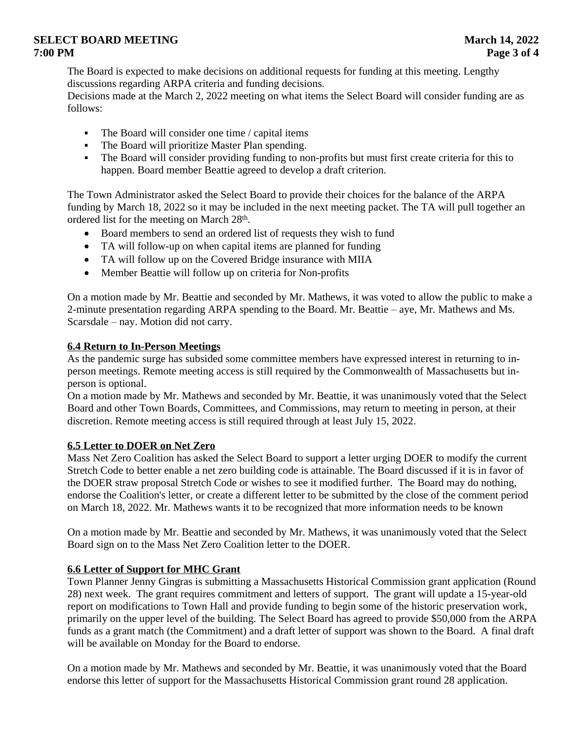# **SELECT BOARD MEETING** March 14, 2022 **7:00 PM Page 3 of 4**

The Board is expected to make decisions on additional requests for funding at this meeting. Lengthy discussions regarding ARPA criteria and funding decisions.

Decisions made at the March 2, 2022 meeting on what items the Select Board will consider funding are as follows:

- $\blacksquare$  The Board will consider one time / capital items
- The Board will prioritize Master Plan spending.
- The Board will consider providing funding to non-profits but must first create criteria for this to happen. Board member Beattie agreed to develop a draft criterion.

The Town Administrator asked the Select Board to provide their choices for the balance of the ARPA funding by March 18, 2022 so it may be included in the next meeting packet. The TA will pull together an ordered list for the meeting on March 28<sup>th</sup>.

- Board members to send an ordered list of requests they wish to fund
- TA will follow-up on when capital items are planned for funding
- TA will follow up on the Covered Bridge insurance with MIIA
- Member Beattie will follow up on criteria for Non-profits

On a motion made by Mr. Beattie and seconded by Mr. Mathews, it was voted to allow the public to make a 2-minute presentation regarding ARPA spending to the Board. Mr. Beattie – aye, Mr. Mathews and Ms. Scarsdale – nay. Motion did not carry.

## **6.4 Return to In-Person Meetings**

As the pandemic surge has subsided some committee members have expressed interest in returning to inperson meetings. Remote meeting access is still required by the Commonwealth of Massachusetts but inperson is optional.

On a motion made by Mr. Mathews and seconded by Mr. Beattie, it was unanimously voted that the Select Board and other Town Boards, Committees, and Commissions, may return to meeting in person, at their discretion. Remote meeting access is still required through at least July 15, 2022.

## **6.5 Letter to DOER on Net Zero**

Mass Net Zero Coalition has asked the Select Board to support a letter urging DOER to modify the current Stretch Code to better enable a net zero building code is attainable. The Board discussed if it is in favor of the DOER straw proposal Stretch Code or wishes to see it modified further. The Board may do nothing, endorse the Coalition's letter, or create a different letter to be submitted by the close of the comment period on March 18, 2022. Mr. Mathews wants it to be recognized that more information needs to be known

On a motion made by Mr. Beattie and seconded by Mr. Mathews, it was unanimously voted that the Select Board sign on to the Mass Net Zero Coalition letter to the DOER.

## **6.6 Letter of Support for MHC Grant**

Town Planner Jenny Gingras is submitting a Massachusetts Historical Commission grant application (Round 28) next week. The grant requires commitment and letters of support. The grant will update a 15-year-old report on modifications to Town Hall and provide funding to begin some of the historic preservation work, primarily on the upper level of the building. The Select Board has agreed to provide \$50,000 from the ARPA funds as a grant match (the Commitment) and a draft letter of support was shown to the Board. A final draft will be available on Monday for the Board to endorse.

On a motion made by Mr. Mathews and seconded by Mr. Beattie, it was unanimously voted that the Board endorse this letter of support for the Massachusetts Historical Commission grant round 28 application.